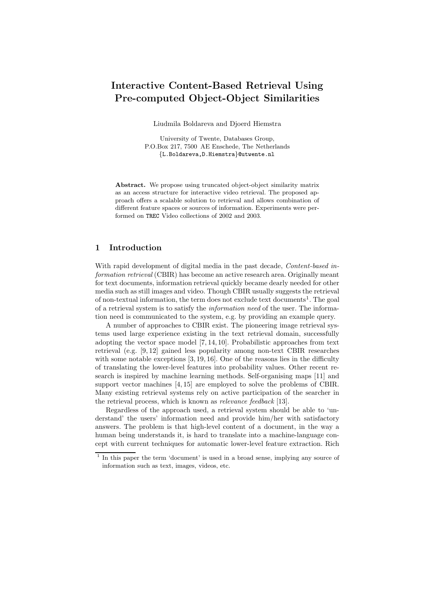# Interactive Content-Based Retrieval Using Pre-computed Object-Object Similarities

Liudmila Boldareva and Djoerd Hiemstra

University of Twente, Databases Group, P.O.Box 217, 7500 AE Enschede, The Netherlands {L.Boldareva,D.Hiemstra}@utwente.nl

Abstract. We propose using truncated object-object similarity matrix as an access structure for interactive video retrieval. The proposed approach offers a scalable solution to retrieval and allows combination of different feature spaces or sources of information. Experiments were performed on TREC Video collections of 2002 and 2003.

## 1 Introduction

With rapid development of digital media in the past decade, *Content-based in*formation retrieval (CBIR) has become an active research area. Originally meant for text documents, information retrieval quickly became dearly needed for other media such as still images and video. Though CBIR usually suggests the retrieval of non-textual information, the term does not exclude text documents<sup>1</sup>. The goal of a retrieval system is to satisfy the information need of the user. The information need is communicated to the system, e.g. by providing an example query.

A number of approaches to CBIR exist. The pioneering image retrieval systems used large experience existing in the text retrieval domain, successfully adopting the vector space model [7, 14, 10]. Probabilistic approaches from text retrieval (e.g. [9, 12] gained less popularity among non-text CBIR researches with some notable exceptions [3, 19, 16]. One of the reasons lies in the difficulty of translating the lower-level features into probability values. Other recent research is inspired by machine learning methods. Self-organising maps [11] and support vector machines [4, 15] are employed to solve the problems of CBIR. Many existing retrieval systems rely on active participation of the searcher in the retrieval process, which is known as relevance feedback [13].

Regardless of the approach used, a retrieval system should be able to 'understand' the users' information need and provide him/her with satisfactory answers. The problem is that high-level content of a document, in the way a human being understands it, is hard to translate into a machine-language concept with current techniques for automatic lower-level feature extraction. Rich

<sup>&</sup>lt;sup>1</sup> In this paper the term 'document' is used in a broad sense, implying any source of information such as text, images, videos, etc.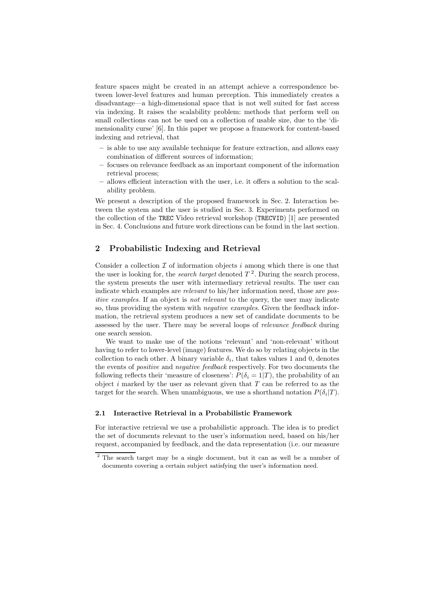feature spaces might be created in an attempt achieve a correspondence between lower-level features and human perception. This immediately creates a disadvantage—a high-dimensional space that is not well suited for fast access via indexing. It raises the scalability problem: methods that perform well on small collections can not be used on a collection of usable size, due to the 'dimensionality curse' [6]. In this paper we propose a framework for content-based indexing and retrieval, that

- is able to use any available technique for feature extraction, and allows easy combination of different sources of information;
- focuses on relevance feedback as an important component of the information retrieval process;
- allows efficient interaction with the user, i.e. it offers a solution to the scalability problem.

We present a description of the proposed framework in Sec. 2. Interaction between the system and the user is studied in Sec. 3. Experiments performed on the collection of the TREC Video retrieval workshop (TRECVID) [1] are presented in Sec. 4. Conclusions and future work directions can be found in the last section.

# 2 Probabilistic Indexing and Retrieval

Consider a collection  $\mathcal I$  of information objects  $i$  among which there is one that the user is looking for, the *search target* denoted  $T^2$ . During the search process, the system presents the user with intermediary retrieval results. The user can indicate which examples are *relevant* to his/her information need, those are *pos*itive examples. If an object is not relevant to the query, the user may indicate so, thus providing the system with negative examples. Given the feedback information, the retrieval system produces a new set of candidate documents to be assessed by the user. There may be several loops of *relevance feedback* during one search session.

We want to make use of the notions 'relevant' and 'non-relevant' without having to refer to lower-level (image) features. We do so by relating objects in the collection to each other. A binary variable  $\delta_i$ , that takes values 1 and 0, denotes the events of *positive* and *negative feedback* respectively. For two documents the following reflects their 'measure of closeness':  $P(\delta_i = 1|T)$ , the probability of an object i marked by the user as relevant given that  $T$  can be referred to as the target for the search. When unambiguous, we use a shorthand notation  $P(\delta_i|T)$ .

#### 2.1 Interactive Retrieval in a Probabilistic Framework

For interactive retrieval we use a probabilistic approach. The idea is to predict the set of documents relevant to the user's information need, based on his/her request, accompanied by feedback, and the data representation (i.e. our measure

<sup>&</sup>lt;sup>2</sup> The search target may be a single document, but it can as well be a number of documents covering a certain subject satisfying the user's information need.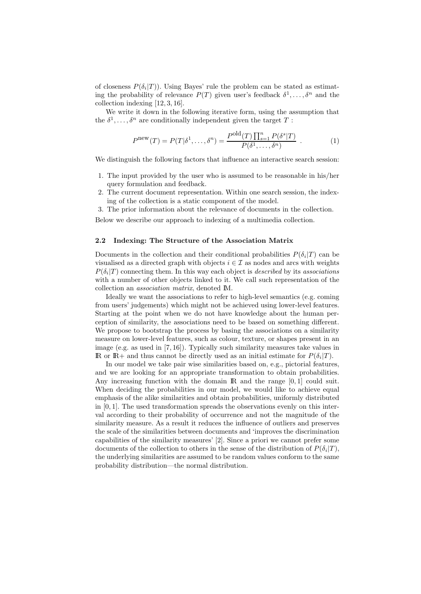of closeness  $P(\delta_i|T)$ ). Using Bayes' rule the problem can be stated as estimating the probability of relevance  $P(T)$  given user's feedback  $\delta^1, \ldots, \delta^n$  and the collection indexing [12, 3, 16].

We write it down in the following iterative form, using the assumption that the  $\delta^1, \ldots, \delta^n$  are conditionally independent given the target  $T$ :

$$
P^{\text{new}}(T) = P(T|\delta^1, \dots, \delta^n) = \frac{P^{\text{old}}(T) \prod_{s=1}^n P(\delta^s | T)}{P(\delta^1, \dots, \delta^n)} \tag{1}
$$

We distinguish the following factors that influence an interactive search session:

- 1. The input provided by the user who is assumed to be reasonable in his/her query formulation and feedback.
- 2. The current document representation. Within one search session, the indexing of the collection is a static component of the model.
- 3. The prior information about the relevance of documents in the collection.

Below we describe our approach to indexing of a multimedia collection.

#### 2.2 Indexing: The Structure of the Association Matrix

Documents in the collection and their conditional probabilities  $P(\delta_i|T)$  can be visualised as a directed graph with objects  $i \in \mathcal{I}$  as nodes and arcs with weights  $P(\delta_i|T)$  connecting them. In this way each object is *described* by its associations with a number of other objects linked to it. We call such representation of the collection an association matrix, denoted IM.

Ideally we want the associations to refer to high-level semantics (e.g. coming from users' judgements) which might not be achieved using lower-level features. Starting at the point when we do not have knowledge about the human perception of similarity, the associations need to be based on something different. We propose to bootstrap the process by basing the associations on a similarity measure on lower-level features, such as colour, texture, or shapes present in an image (e.g. as used in [7, 16]). Typically such similarity measures take values in R or R+ and thus cannot be directly used as an initial estimate for  $P(\delta_i|T)$ .

In our model we take pair wise similarities based on, e.g., pictorial features, and we are looking for an appropriate transformation to obtain probabilities. Any increasing function with the domain  $\mathbb R$  and the range  $[0, 1]$  could suit. When deciding the probabilities in our model, we would like to achieve equal emphasis of the alike similarities and obtain probabilities, uniformly distributed in  $[0, 1]$ . The used transformation spreads the observations evenly on this interval according to their probability of occurrence and not the magnitude of the similarity measure. As a result it reduces the influence of outliers and preserves the scale of the similarities between documents and 'improves the discrimination capabilities of the similarity measures' [2]. Since a priori we cannot prefer some documents of the collection to others in the sense of the distribution of  $P(\delta_i|T)$ , the underlying similarities are assumed to be random values conform to the same probability distribution—the normal distribution.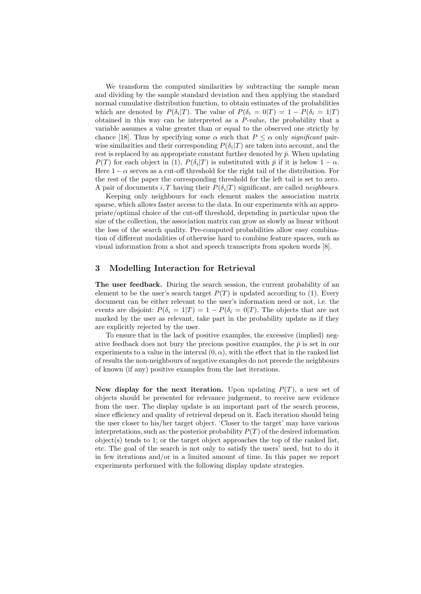We transform the computed similarities by subtracting the sample mean and dividing by the sample standard deviation and then applying the standard normal cumulative distribution function, to obtain estimates of the probabilities which are denoted by  $P(\delta_i|T)$ . The value of  $P(\delta_i = 0|T) = 1 - P(\delta_i = 1|T)$ obtained in this way can be interpreted as a P-value, the probability that a variable assumes a value greater than or equal to the observed one strictly by chance [18]. Thus by specifying some  $\alpha$  such that  $P \leq \alpha$  only *significant* pairwise similarities and their corresponding  $P(\delta_i|T)$  are taken into account, and the rest is replaced by an appropriate constant further denoted by  $\bar{p}$ . When updating  $P(T)$  for each object in (1),  $P(\delta_i|T)$  is substituted with  $\bar{p}$  if it is below  $1 - \alpha$ . Here  $1 - \alpha$  serves as a cut-off threshold for the right tail of the distribution. For the rest of the paper the corresponding threshold for the left tail is set to zero. A pair of documents i, T having their  $P(\delta_i|T)$  significant, are called *neighbours*.

Keeping only neighbours for each element makes the association matrix sparse, which allows faster access to the data. In our experiments with an appropriate/optimal choice of the cut-off threshold, depending in particular upon the size of the collection, the association matrix can grow as slowly as linear without the loss of the search quality. Pre-computed probabilities allow easy combination of different modalities of otherwise hard to combine feature spaces, such as visual information from a shot and speech transcripts from spoken words [8].

## 3 Modelling Interaction for Retrieval

The user feedback. During the search session, the current probability of an element to be the user's search target  $P(T)$  is updated according to (1). Every document can be either relevant to the user's information need or not, i.e. the events are disjoint:  $P(\delta_i = 1|T) = 1 - P(\delta_i = 0|T)$ . The objects that are not marked by the user as relevant, take part in the probability update as if they are explicitly rejected by the user.

To ensure that in the lack of positive examples, the excessive (implied) negative feedback does not bury the precious positive examples, the  $\bar{p}$  is set in our experiments to a value in the interval  $(0, \alpha)$ , with the effect that in the ranked list of results the non-neighbours of negative examples do not precede the neighbours of known (if any) positive examples from the last iterations.

New display for the next iteration. Upon updating  $P(T)$ , a new set of objects should be presented for relevance judgement, to receive new evidence from the user. The display update is an important part of the search process, since efficiency and quality of retrieval depend on it. Each iteration should bring the user closer to his/her target object. 'Closer to the target' may have various interpretations, such as: the posterior probability  $P(T)$  of the desired information object(s) tends to 1; or the target object approaches the top of the ranked list, etc. The goal of the search is not only to satisfy the users' need, but to do it in few iterations and/or in a limited amount of time. In this paper we report experiments performed with the following display update strategies.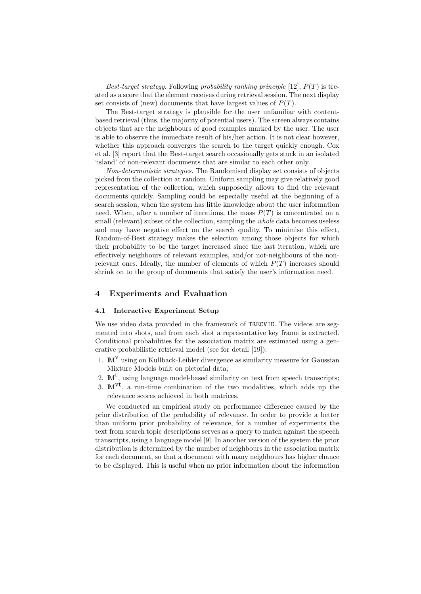Best-target strategy. Following probability ranking principle  $[12]$ ,  $P(T)$  is treated as a score that the element receives during retrieval session. The next display set consists of (new) documents that have largest values of  $P(T)$ .

The Best-target strategy is plausible for the user unfamiliar with contentbased retrieval (thus, the majority of potential users). The screen always contains objects that are the neighbours of good examples marked by the user. The user is able to observe the immediate result of his/her action. It is not clear however, whether this approach converges the search to the target quickly enough. Cox et al. [3] report that the Best-target search occasionally gets stuck in an isolated 'island' of non-relevant documents that are similar to each other only.

Non-deterministic strategies. The Randomised display set consists of objects picked from the collection at random. Uniform sampling may give relatively good representation of the collection, which supposedly allows to find the relevant documents quickly. Sampling could be especially useful at the beginning of a search session, when the system has little knowledge about the user information need. When, after a number of iterations, the mass  $P(T)$  is concentrated on a small (relevant) subset of the collection, sampling the *whole* data becomes useless and may have negative effect on the search quality. To minimise this effect, Random-of-Best strategy makes the selection among those objects for which their probability to be the target increased since the last iteration, which are effectively neighbours of relevant examples, and/or not-neighbours of the nonrelevant ones. Ideally, the number of elements of which  $P(T)$  increases should shrink on to the group of documents that satisfy the user's information need.

## 4 Experiments and Evaluation

### 4.1 Interactive Experiment Setup

We use video data provided in the framework of TRECVID. The videos are segmented into shots, and from each shot a representative key frame is extracted. Conditional probabilities for the association matrix are estimated using a generative probabilistic retrieval model (see for detail [19]):

- 1.  $\mathbb{M}^V$  using on Kullback-Leibler divergence as similarity measure for Gaussian Mixture Models built on pictorial data;
- 2.  $M<sup>t</sup>$ , using language model-based similarity on text from speech transcripts;
- 3.  $M<sup>vt</sup>$ , a run-time combination of the two modalities, which adds up the relevance scores achieved in both matrices.

We conducted an empirical study on performance difference caused by the prior distribution of the probability of relevance. In order to provide a better than uniform prior probability of relevance, for a number of experiments the text from search topic descriptions serves as a query to match against the speech transcripts, using a language model [9]. In another version of the system the prior distribution is determined by the number of neighbours in the association matrix for each document, so that a document with many neighbours has higher chance to be displayed. This is useful when no prior information about the information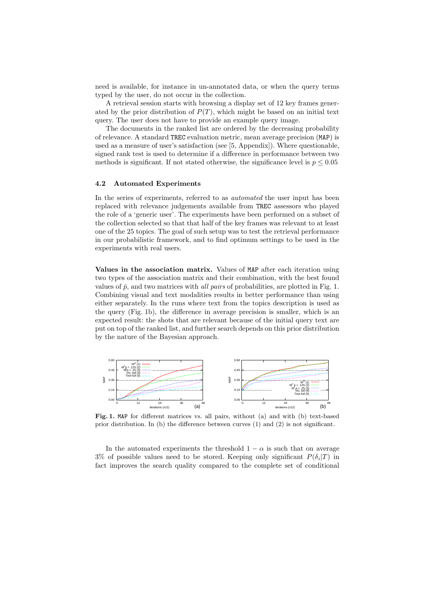need is available, for instance in un-annotated data, or when the query terms typed by the user, do not occur in the collection.

A retrieval session starts with browsing a display set of 12 key frames generated by the prior distribution of  $P(T)$ , which might be based on an initial text query. The user does not have to provide an example query image.

The documents in the ranked list are ordered by the decreasing probability of relevance. A standard TREC evaluation metric, mean average precision (MAP) is used as a measure of user's satisfaction (see [5, Appendix]). Where questionable, signed rank test is used to determine if a difference in performance between two methods is significant. If not stated otherwise, the significance level is  $p \leq 0.05$ 

#### 4.2 Automated Experiments

In the series of experiments, referred to as *automated* the user input has been replaced with relevance judgements available from TREC assessors who played the role of a 'generic user'. The experiments have been performed on a subset of the collection selected so that that half of the key frames was relevant to at least one of the 25 topics. The goal of such setup was to test the retrieval performance in our probabilistic framework, and to find optimum settings to be used in the experiments with real users.

Values in the association matrix. Values of MAP after each iteration using two types of the association matrix and their combination, with the best found values of  $\bar{p}$ , and two matrices with *all pairs* of probabilities, are plotted in Fig. 1. Combining visual and text modalities results in better performance than using either separately. In the runs where text from the topics description is used as the query (Fig. 1b), the difference in average precision is smaller, which is an expected result: the shots that are relevant because of the initial query text are put on top of the ranked list, and further search depends on this prior distribution by the nature of the Bayesian approach.



Fig. 1. MAP for different matrices vs. all pairs, without (a) and with (b) text-based prior distribution. In (b) the difference between curves (1) and (2) is not significant.

In the automated experiments the threshold  $1 - \alpha$  is such that on average 3% of possible values need to be stored. Keeping only significant  $P(\delta_i|T)$  in fact improves the search quality compared to the complete set of conditional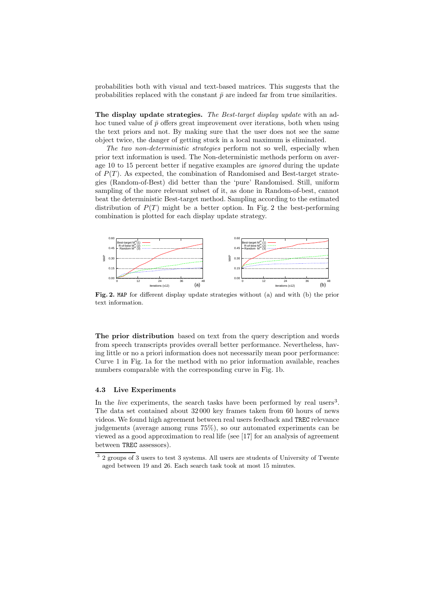probabilities both with visual and text-based matrices. This suggests that the probabilities replaced with the constant  $\bar{p}$  are indeed far from true similarities.

The display update strategies. The Best-target display update with an adhoc tuned value of  $\bar{p}$  offers great improvement over iterations, both when using the text priors and not. By making sure that the user does not see the same object twice, the danger of getting stuck in a local maximum is eliminated.

The two non-deterministic strategies perform not so well, especially when prior text information is used. The Non-deterministic methods perform on average 10 to 15 percent better if negative examples are ignored during the update of  $P(T)$ . As expected, the combination of Randomised and Best-target strategies (Random-of-Best) did better than the 'pure' Randomised. Still, uniform sampling of the more relevant subset of it, as done in Random-of-best, cannot beat the deterministic Best-target method. Sampling according to the estimated distribution of  $P(T)$  might be a better option. In Fig. 2 the best-performing combination is plotted for each display update strategy.



Fig. 2. MAP for different display update strategies without (a) and with (b) the prior text information.

The prior distribution based on text from the query description and words from speech transcripts provides overall better performance. Nevertheless, having little or no a priori information does not necessarily mean poor performance: Curve 1 in Fig. 1a for the method with no prior information available, reaches numbers comparable with the corresponding curve in Fig. 1b.

## 4.3 Live Experiments

In the *live* experiments, the search tasks have been performed by real users<sup>3</sup>. The data set contained about 32 000 key frames taken from 60 hours of news videos. We found high agreement between real users feedback and TREC relevance judgements (average among runs 75%), so our automated experiments can be viewed as a good approximation to real life (see [17] for an analysis of agreement between TREC assessors).

<sup>&</sup>lt;sup>3</sup> 2 groups of 3 users to test 3 systems. All users are students of University of Twente aged between 19 and 26. Each search task took at most 15 minutes.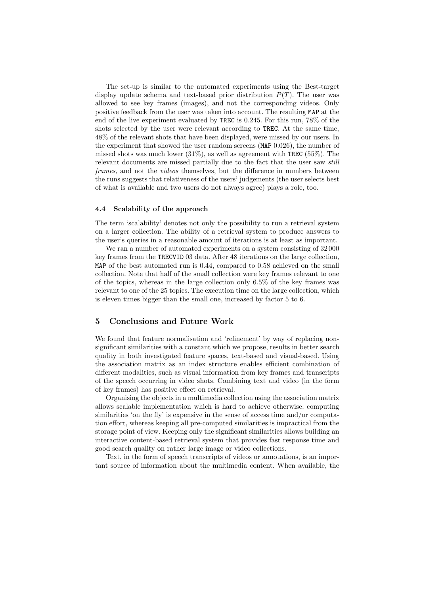The set-up is similar to the automated experiments using the Best-target display update schema and text-based prior distribution  $P(T)$ . The user was allowed to see key frames (images), and not the corresponding videos. Only positive feedback from the user was taken into account. The resulting MAP at the end of the live experiment evaluated by TREC is 0.245. For this run, 78% of the shots selected by the user were relevant according to TREC. At the same time, 48% of the relevant shots that have been displayed, were missed by our users. In the experiment that showed the user random screens (MAP 0.026), the number of missed shots was much lower  $(31\%)$ , as well as agreement with TREC  $(55\%)$ . The relevant documents are missed partially due to the fact that the user saw still frames, and not the videos themselves, but the difference in numbers between the runs suggests that relativeness of the users' judgements (the user selects best of what is available and two users do not always agree) plays a role, too.

#### 4.4 Scalability of the approach

The term 'scalability' denotes not only the possibility to run a retrieval system on a larger collection. The ability of a retrieval system to produce answers to the user's queries in a reasonable amount of iterations is at least as important.

We ran a number of automated experiments on a system consisting of 32 000 key frames from the TRECVID 03 data. After 48 iterations on the large collection, MAP of the best automated run is 0.44, compared to 0.58 achieved on the small collection. Note that half of the small collection were key frames relevant to one of the topics, whereas in the large collection only  $6.5\%$  of the key frames was relevant to one of the 25 topics. The execution time on the large collection, which is eleven times bigger than the small one, increased by factor 5 to 6.

## 5 Conclusions and Future Work

We found that feature normalisation and 'refinement' by way of replacing nonsignificant similarities with a constant which we propose, results in better search quality in both investigated feature spaces, text-based and visual-based. Using the association matrix as an index structure enables efficient combination of different modalities, such as visual information from key frames and transcripts of the speech occurring in video shots. Combining text and video (in the form of key frames) has positive effect on retrieval.

Organising the objects in a multimedia collection using the association matrix allows scalable implementation which is hard to achieve otherwise: computing similarities 'on the fly' is expensive in the sense of access time and/or computation effort, whereas keeping all pre-computed similarities is impractical from the storage point of view. Keeping only the significant similarities allows building an interactive content-based retrieval system that provides fast response time and good search quality on rather large image or video collections.

Text, in the form of speech transcripts of videos or annotations, is an important source of information about the multimedia content. When available, the